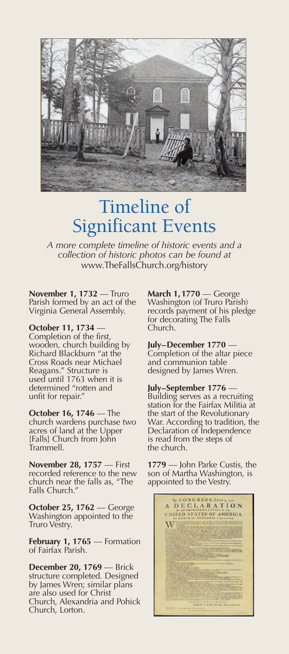

## Timeline of Significant Events

*A more complete timeline of historic events and a collection of historic photos can be found at* www.TheFallsChurch.org/history

**November 1, 1732** — Truro Parish formed by an act of the Virginia General Assembly.

**October 11, 1734** — Completion of the first, wooden, church building by Richard Blackburn "at the Cross Roads near Michael Reagans." Structure is used until 1763 when it is determined "rotten and unfit for repair."

**October 16, 1746** — The church wardens purchase two acres of land at the Upper [Falls] Church from John Trammell.

**November 28, 1757** — First recorded reference to the new church near the falls as, "The Falls Church."

**October 25, 1762** — George Washington appointed to the Truro Vestry.

**February 1, <sup>1765</sup>** — Formation of Fairfax Parish.

**December 20, 1769** — Brick structure completed. Designed by James Wren; similar plans are also used for Christ Church, Alexandria and Pohick Church, Lorton.

**March 1,1770** — George Washington (of Truro Parish) records payment of his pledge for decorating The Falls Church.

## **July–December 1770** —

Completion of the altar piece and communion table designed by James Wren.

## **July–September 1776** —

Building serves as a recruiting station for the Fairfax Militia at the start of the Revolutionary War. According to tradition, the Declaration of Independence is read from the steps of the church.

**1779** — John Parke Custis, the son of Martha Washington, is appointed to the Vestry.